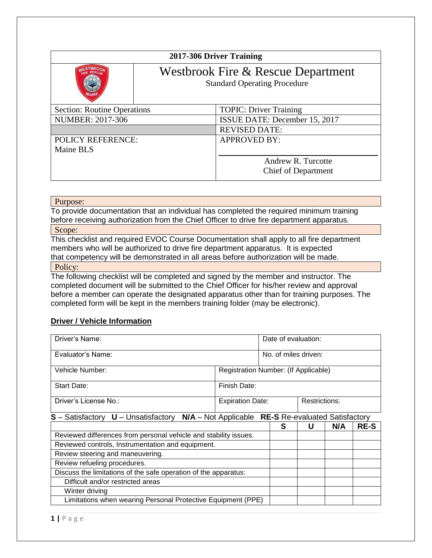|                                                 |                                                                           | 2017-306 Driver Training      |  |
|-------------------------------------------------|---------------------------------------------------------------------------|-------------------------------|--|
|                                                 | Westbrook Fire & Rescue Department<br><b>Standard Operating Procedure</b> |                               |  |
| <b>Section: Routine Operations</b>              |                                                                           | <b>TOPIC: Driver Training</b> |  |
| <b>NUMBER: 2017-306</b>                         |                                                                           | ISSUE DATE: December 15, 2017 |  |
|                                                 |                                                                           | <b>REVISED DATE:</b>          |  |
| <b>APPROVED BY:</b><br><b>POLICY REFERENCE:</b> |                                                                           |                               |  |
| Maine BLS                                       |                                                                           |                               |  |
|                                                 |                                                                           | Andrew R. Turcotte            |  |
|                                                 |                                                                           | <b>Chief of Department</b>    |  |

## Purpose:

To provide documentation that an individual has completed the required minimum training before receiving authorization from the Chief Officer to drive fire department apparatus. Scope:

This checklist and required EVOC Course Documentation shall apply to all fire department members who will be authorized to drive fire department apparatus. It is expected that competency will be demonstrated in all areas before authorization will be made. Policy:

The following checklist will be completed and signed by the member and instructor. The completed document will be submitted to the Chief Officer for his/her review and approval before a member can operate the designated apparatus other than for training purposes. The completed form will be kept in the members training folder (may be electronic).

## **Driver / Vehicle Information**

| Driver's Name:                                                                                |                                      | Date of evaluation:  |  |               |             |
|-----------------------------------------------------------------------------------------------|--------------------------------------|----------------------|--|---------------|-------------|
| Evaluator's Name:                                                                             |                                      | No. of miles driven: |  |               |             |
| Vehicle Number:                                                                               | Registration Number: (If Applicable) |                      |  |               |             |
| Start Date:                                                                                   | Finish Date:                         |                      |  |               |             |
| Driver's License No.:                                                                         | <b>Expiration Date:</b>              |                      |  | Restrictions: |             |
| $S$ – Satisfactory $U$ – Unsatisfactory $N/A$ – Not Applicable RE-S Re-evaluated Satisfactory |                                      |                      |  |               |             |
|                                                                                               |                                      | S                    |  | N/A           | <b>RE-S</b> |
| Reviewed differences from personal vehicle and stability issues.                              |                                      |                      |  |               |             |
| Reviewed controls, Instrumentation and equipment.                                             |                                      |                      |  |               |             |
| Review steering and maneuvering.                                                              |                                      |                      |  |               |             |
| Review refueling procedures.                                                                  |                                      |                      |  |               |             |
| Discuss the limitations of the safe operation of the apparatus:                               |                                      |                      |  |               |             |
| Difficult and/or restricted areas                                                             |                                      |                      |  |               |             |
| Winter driving                                                                                |                                      |                      |  |               |             |
| Limitations when wearing Personal Protective Equipment (PPE)                                  |                                      |                      |  |               |             |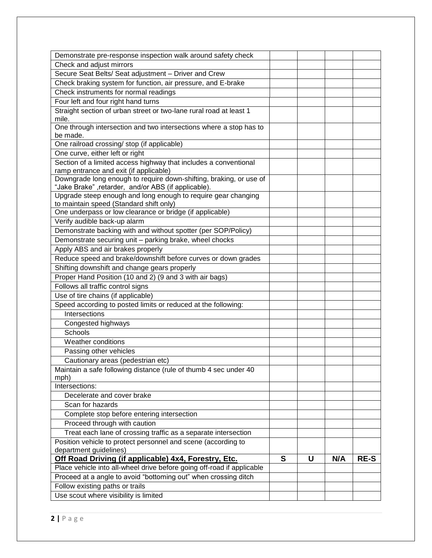| Demonstrate pre-response inspection walk around safety check                                                         |   |   |     |             |
|----------------------------------------------------------------------------------------------------------------------|---|---|-----|-------------|
| Check and adjust mirrors                                                                                             |   |   |     |             |
| Secure Seat Belts/ Seat adjustment - Driver and Crew                                                                 |   |   |     |             |
| Check braking system for function, air pressure, and E-brake                                                         |   |   |     |             |
| Check instruments for normal readings                                                                                |   |   |     |             |
| Four left and four right hand turns                                                                                  |   |   |     |             |
| Straight section of urban street or two-lane rural road at least 1                                                   |   |   |     |             |
| mile.                                                                                                                |   |   |     |             |
| One through intersection and two intersections where a stop has to                                                   |   |   |     |             |
| be made.                                                                                                             |   |   |     |             |
| One railroad crossing/ stop (if applicable)                                                                          |   |   |     |             |
| One curve, either left or right                                                                                      |   |   |     |             |
| Section of a limited access highway that includes a conventional                                                     |   |   |     |             |
| ramp entrance and exit (if applicable)                                                                               |   |   |     |             |
| Downgrade long enough to require down-shifting, braking, or use of                                                   |   |   |     |             |
| "Jake Brake", retarder, and/or ABS (if applicable).<br>Upgrade steep enough and long enough to require gear changing |   |   |     |             |
| to maintain speed (Standard shift only)                                                                              |   |   |     |             |
| One underpass or low clearance or bridge (if applicable)                                                             |   |   |     |             |
| Verify audible back-up alarm                                                                                         |   |   |     |             |
| Demonstrate backing with and without spotter (per SOP/Policy)                                                        |   |   |     |             |
| Demonstrate securing unit - parking brake, wheel chocks                                                              |   |   |     |             |
| Apply ABS and air brakes properly                                                                                    |   |   |     |             |
| Reduce speed and brake/downshift before curves or down grades                                                        |   |   |     |             |
| Shifting downshift and change gears properly                                                                         |   |   |     |             |
| Proper Hand Position (10 and 2) (9 and 3 with air bags)                                                              |   |   |     |             |
| Follows all traffic control signs                                                                                    |   |   |     |             |
|                                                                                                                      |   |   |     |             |
| Use of tire chains (if applicable)                                                                                   |   |   |     |             |
| Speed according to posted limits or reduced at the following:<br>Intersections                                       |   |   |     |             |
|                                                                                                                      |   |   |     |             |
| Congested highways                                                                                                   |   |   |     |             |
| Schools                                                                                                              |   |   |     |             |
| Weather conditions                                                                                                   |   |   |     |             |
| Passing other vehicles                                                                                               |   |   |     |             |
| Cautionary areas (pedestrian etc)                                                                                    |   |   |     |             |
| Maintain a safe following distance (rule of thumb 4 sec under 40                                                     |   |   |     |             |
| mph)<br>Intersections:                                                                                               |   |   |     |             |
| Decelerate and cover brake                                                                                           |   |   |     |             |
| Scan for hazards                                                                                                     |   |   |     |             |
| Complete stop before entering intersection                                                                           |   |   |     |             |
| Proceed through with caution                                                                                         |   |   |     |             |
| Treat each lane of crossing traffic as a separate intersection                                                       |   |   |     |             |
| Position vehicle to protect personnel and scene (according to                                                        |   |   |     |             |
| department guidelines)                                                                                               |   |   |     |             |
| Off Road Driving (if applicable) 4x4, Forestry, Etc.                                                                 | S | U | N/A | <b>RE-S</b> |
| Place vehicle into all-wheel drive before going off-road if applicable                                               |   |   |     |             |
| Proceed at a angle to avoid "bottoming out" when crossing ditch                                                      |   |   |     |             |
| Follow existing paths or trails                                                                                      |   |   |     |             |
| Use scout where visibility is limited                                                                                |   |   |     |             |
|                                                                                                                      |   |   |     |             |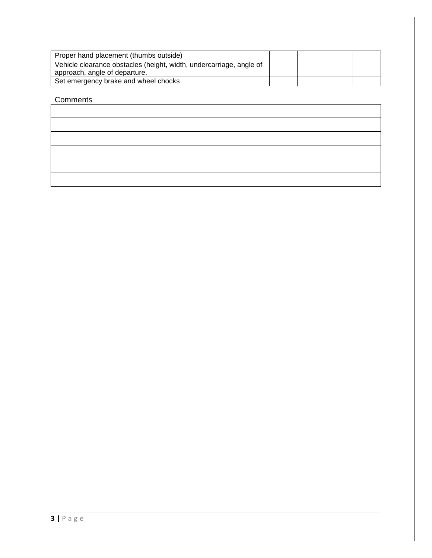| Proper hand placement (thumbs outside)                              |  |  |
|---------------------------------------------------------------------|--|--|
| Vehicle clearance obstacles (height, width, undercarriage, angle of |  |  |
| approach, angle of departure.                                       |  |  |
| Set emergency brake and wheel chocks                                |  |  |

## **Comments**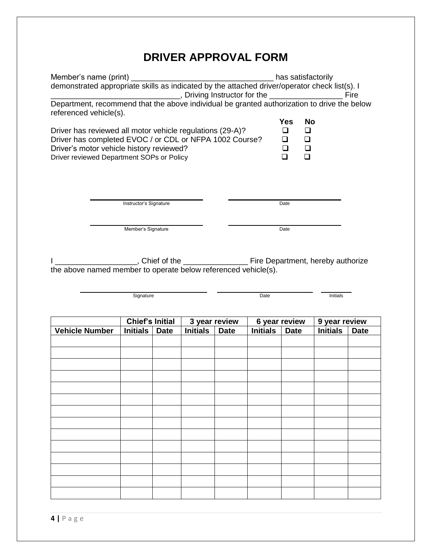## **DRIVER APPROVAL FORM**

| Member's name (print) _________<br>demonstrated appropriate skills as indicated by the attached driver/operator check list(s). I                                                                              |                                       |                 |                              | has satisfactorily |                                                          |                                  |             |
|---------------------------------------------------------------------------------------------------------------------------------------------------------------------------------------------------------------|---------------------------------------|-----------------|------------------------------|--------------------|----------------------------------------------------------|----------------------------------|-------------|
|                                                                                                                                                                                                               |                                       |                 |                              |                    |                                                          |                                  |             |
| Department, recommend that the above individual be granted authorization to drive the below<br>referenced vehicle(s).                                                                                         |                                       |                 |                              |                    |                                                          |                                  |             |
|                                                                                                                                                                                                               |                                       |                 |                              |                    | <b>Yes</b><br><b>No</b>                                  |                                  |             |
| Driver has reviewed all motor vehicle regulations (29-A)?<br>Driver has completed EVOC / or CDL or NFPA 1002 Course?<br>Driver's motor vehicle history reviewed?<br>Driver reviewed Department SOPs or Policy |                                       |                 |                              |                    | $\Box$<br>❏<br>$\Box$<br>□<br>$\Box$<br>□<br>$\Box$<br>◻ |                                  |             |
|                                                                                                                                                                                                               | Instructor's Signature                |                 |                              |                    | Date                                                     |                                  |             |
|                                                                                                                                                                                                               | Member's Signature                    |                 |                              |                    | Date                                                     |                                  |             |
| the above named member to operate below referenced vehicle(s).                                                                                                                                                |                                       |                 |                              |                    |                                                          |                                  |             |
|                                                                                                                                                                                                               |                                       |                 |                              |                    |                                                          |                                  |             |
|                                                                                                                                                                                                               | Signature                             |                 |                              | Date               |                                                          | Initials                         |             |
|                                                                                                                                                                                                               |                                       |                 |                              |                    |                                                          |                                  |             |
| <b>Vehicle Number</b><br><b>Initials</b>                                                                                                                                                                      | <b>Chief's Initial</b><br><b>Date</b> | <b>Initials</b> | 3 year review<br><b>Date</b> | <b>Initials</b>    | 6 year review<br><b>Date</b>                             | 9 year review<br><b>Initials</b> | <b>Date</b> |
|                                                                                                                                                                                                               |                                       |                 |                              |                    |                                                          |                                  |             |
|                                                                                                                                                                                                               |                                       |                 |                              |                    |                                                          |                                  |             |
|                                                                                                                                                                                                               |                                       |                 |                              |                    |                                                          |                                  |             |
|                                                                                                                                                                                                               |                                       |                 |                              |                    |                                                          |                                  |             |
|                                                                                                                                                                                                               |                                       |                 |                              |                    |                                                          |                                  |             |
|                                                                                                                                                                                                               |                                       |                 |                              |                    |                                                          |                                  |             |
|                                                                                                                                                                                                               |                                       |                 |                              |                    |                                                          |                                  |             |
|                                                                                                                                                                                                               |                                       |                 |                              |                    |                                                          |                                  |             |
|                                                                                                                                                                                                               |                                       |                 |                              |                    |                                                          |                                  |             |
|                                                                                                                                                                                                               |                                       |                 |                              |                    |                                                          |                                  |             |
|                                                                                                                                                                                                               |                                       |                 |                              |                    |                                                          |                                  |             |
|                                                                                                                                                                                                               |                                       |                 |                              |                    |                                                          |                                  |             |
|                                                                                                                                                                                                               |                                       |                 |                              |                    |                                                          |                                  |             |